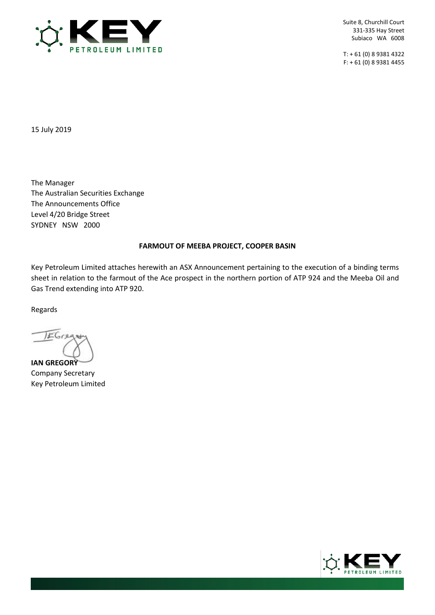

T: + 61 (0) 8 9381 4322 F: + 61 (0) 8 9381 4455

15 July 2019

The Manager The Australian Securities Exchange The Announcements Office Level 4/20 Bridge Street SYDNEY NSW 2000

#### **FARMOUT OF MEEBA PROJECT, COOPER BASIN**

Key Petroleum Limited attaches herewith an ASX Announcement pertaining to the execution of a binding terms sheet in relation to the farmout of the Ace prospect in the northern portion of ATP 924 and the Meeba Oil and Gas Trend extending into ATP 920.

Regards

EGree

**IAN GREGORY** Company Secretary Key Petroleum Limited

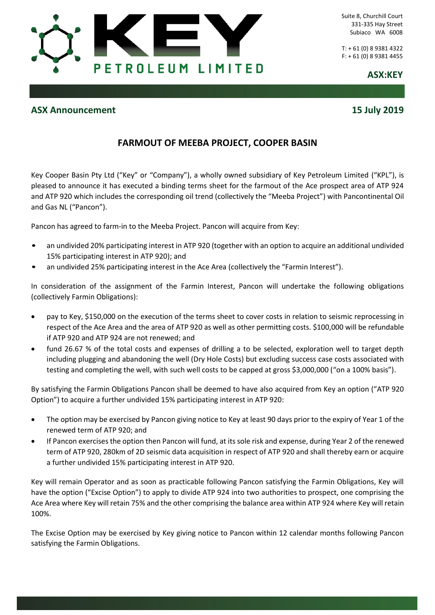

T: + 61 (0) 8 9381 4322 F: + 61 (0) 8 9381 4455

**ASX:KEY**

## **ASX Announcement 15 July 2019**

# **FARMOUT OF MEEBA PROJECT, COOPER BASIN**

Key Cooper Basin Pty Ltd ("Key" or "Company"), a wholly owned subsidiary of Key Petroleum Limited ("KPL"), is pleased to announce it has executed a binding terms sheet for the farmout of the Ace prospect area of ATP 924 and ATP 920 which includes the corresponding oil trend (collectively the "Meeba Project") with Pancontinental Oil and Gas NL ("Pancon").

Pancon has agreed to farm-in to the Meeba Project. Pancon will acquire from Key:

- an undivided 20% participating interest in ATP 920 (together with an option to acquire an additional undivided 15% participating interest in ATP 920); and
- an undivided 25% participating interest in the Ace Area (collectively the "Farmin Interest").

In consideration of the assignment of the Farmin Interest, Pancon will undertake the following obligations (collectively Farmin Obligations):

- pay to Key, \$150,000 on the execution of the terms sheet to cover costs in relation to seismic reprocessing in respect of the Ace Area and the area of ATP 920 as well as other permitting costs. \$100,000 will be refundable if ATP 920 and ATP 924 are not renewed; and
- fund 26.67 % of the total costs and expenses of drilling a to be selected, exploration well to target depth including plugging and abandoning the well (Dry Hole Costs) but excluding success case costs associated with testing and completing the well, with such well costs to be capped at gross \$3,000,000 ("on a 100% basis").

By satisfying the Farmin Obligations Pancon shall be deemed to have also acquired from Key an option ("ATP 920 Option") to acquire a further undivided 15% participating interest in ATP 920:

- The option may be exercised by Pancon giving notice to Key at least 90 days prior to the expiry of Year 1 of the renewed term of ATP 920; and
- If Pancon exercises the option then Pancon will fund, at its sole risk and expense, during Year 2 of the renewed term of ATP 920, 280km of 2D seismic data acquisition in respect of ATP 920 and shall thereby earn or acquire a further undivided 15% participating interest in ATP 920.

Key will remain Operator and as soon as practicable following Pancon satisfying the Farmin Obligations, Key will have the option ("Excise Option") to apply to divide ATP 924 into two authorities to prospect, one comprising the Ace Area where Key will retain 75% and the other comprising the balance area within ATP 924 where Key will retain 100%.

The Excise Option may be exercised by Key giving notice to Pancon within 12 calendar months following Pancon satisfying the Farmin Obligations.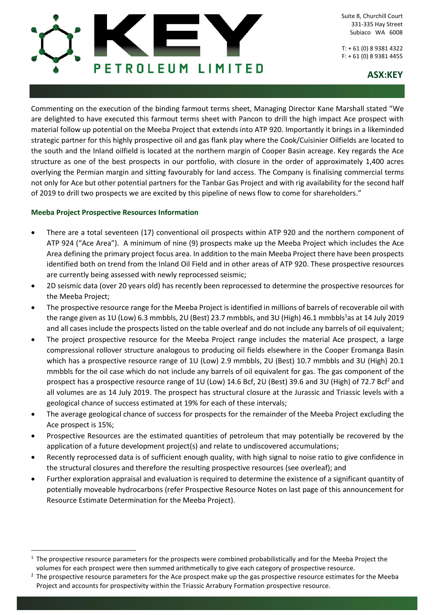

T: + 61 (0) 8 9381 4322 F: + 61 (0) 8 9381 4455

## **ASX:KEY**

Commenting on the execution of the binding farmout terms sheet, Managing Director Kane Marshall stated "We are delighted to have executed this farmout terms sheet with Pancon to drill the high impact Ace prospect with material follow up potential on the Meeba Project that extends into ATP 920. Importantly it brings in a likeminded strategic partner for this highly prospective oil and gas flank play where the Cook/Cuisinier Oilfields are located to the south and the Inland oilfield is located at the northern margin of Cooper Basin acreage. Key regards the Ace structure as one of the best prospects in our portfolio, with closure in the order of approximately 1,400 acres overlying the Permian margin and sitting favourably for land access. The Company is finalising commercial terms not only for Ace but other potential partners for the Tanbar Gas Project and with rig availability for the second half of 2019 to drill two prospects we are excited by this pipeline of news flow to come for shareholders."

#### **Meeba Project Prospective Resources Information**

 $\ddot{\phantom{a}}$ 

- There are a total seventeen (17) conventional oil prospects within ATP 920 and the northern component of ATP 924 ("Ace Area"). A minimum of nine (9) prospects make up the Meeba Project which includes the Ace Area defining the primary project focus area. In addition to the main Meeba Project there have been prospects identified both on trend from the Inland Oil Field and in other areas of ATP 920. These prospective resources are currently being assessed with newly reprocessed seismic;
- 2D seismic data (over 20 years old) has recently been reprocessed to determine the prospective resources for the Meeba Project;
- The prospective resource range for the Meeba Project is identified in millions of barrels of recoverable oil with the range given as 1U (Low) 6.3 mmbbls, 2U (Best) 23.7 mmbbls, and 3U (High) 46.1 mmbbls<sup>1</sup>as at 14 July 2019 and all cases include the prospects listed on the table overleaf and do not include any barrels of oil equivalent;
- The project prospective resource for the Meeba Project range includes the material Ace prospect, a large compressional rollover structure analogous to producing oil fields elsewhere in the Cooper Eromanga Basin which has a prospective resource range of 1U (Low) 2.9 mmbbls, 2U (Best) 10.7 mmbbls and 3U (High) 20.1 mmbbls for the oil case which do not include any barrels of oil equivalent for gas. The gas component of the prospect has a prospective resource range of 1U (Low) 14.6 Bcf, 2U (Best) 39.6 and 3U (High) of 72.7 Bcf<sup>2</sup> and all volumes are as 14 July 2019. The prospect has structural closure at the Jurassic and Triassic levels with a geological chance of success estimated at 19% for each of these intervals;
- The average geological chance of success for prospects for the remainder of the Meeba Project excluding the Ace prospect is 15%;
- Prospective Resources are the estimated quantities of petroleum that may potentially be recovered by the application of a future development project(s) and relate to undiscovered accumulations;
- Recently reprocessed data is of sufficient enough quality, with high signal to noise ratio to give confidence in the structural closures and therefore the resulting prospective resources (see overleaf); and
- Further exploration appraisal and evaluation is required to determine the existence of a significant quantity of potentially moveable hydrocarbons (refer Prospective Resource Notes on last page of this announcement for Resource Estimate Determination for the Meeba Project).

 $1$  The prospective resource parameters for the prospects were combined probabilistically and for the Meeba Project the volumes for each prospect were then summed arithmetically to give each category of prospective resource.

<sup>&</sup>lt;sup>2</sup> The prospective resource parameters for the Ace prospect make up the gas prospective resource estimates for the Meeba Project and accounts for prospectivity within the Triassic Arrabury Formation prospective resource.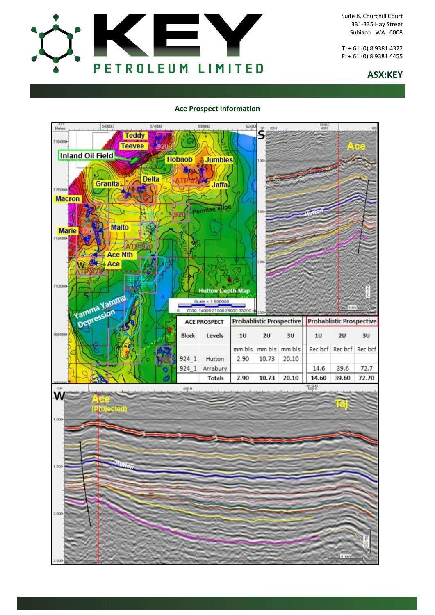

T: + 61 (0) 8 9381 4322 F: + 61 (0) 8 9381 4455

### **ASX:KEY**

#### **Ace Prospect Information**

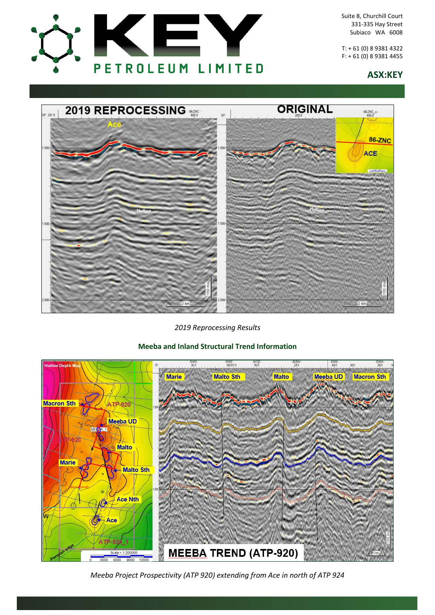

T: + 61 (0) 8 9381 4322 F: + 61 (0) 8 9381 4455

## **ASX:KEY**



*2019 Reprocessing Results*

## **Meeba and Inland Structural Trend Information**



*Meeba Project Prospectivity (ATP 920) extending from Ace in north of ATP 924*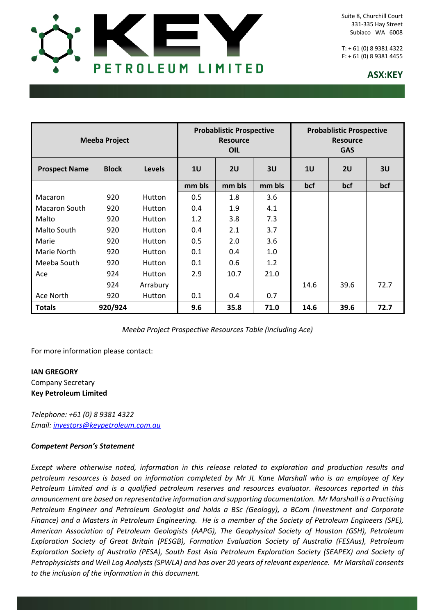

T: + 61 (0) 8 9381 4322 F: + 61 (0) 8 9381 4455

## **ASX:KEY**

| <b>Meeba Project</b> |              |               | <b>Probablistic Prospective</b><br><b>Resource</b><br>OIL |        |        | <b>Probablistic Prospective</b><br><b>Resource</b><br><b>GAS</b> |      |      |
|----------------------|--------------|---------------|-----------------------------------------------------------|--------|--------|------------------------------------------------------------------|------|------|
| <b>Prospect Name</b> | <b>Block</b> | <b>Levels</b> | 10                                                        | 2U     | 3U     | 1 <sub>U</sub>                                                   | 2U   | 3U   |
|                      |              |               | mm bls                                                    | mm bls | mm bls | bcf                                                              | bcf  | bcf  |
| <b>Macaron</b>       | 920          | Hutton        | 0.5                                                       | 1.8    | 3.6    |                                                                  |      |      |
| <b>Macaron South</b> | 920          | Hutton        | 0.4                                                       | 1.9    | 4.1    |                                                                  |      |      |
| Malto                | 920          | Hutton        | 1.2                                                       | 3.8    | 7.3    |                                                                  |      |      |
| Malto South          | 920          | Hutton        | 0.4                                                       | 2.1    | 3.7    |                                                                  |      |      |
| Marie                | 920          | Hutton        | 0.5                                                       | 2.0    | 3.6    |                                                                  |      |      |
| Marie North          | 920          | <b>Hutton</b> | 0.1                                                       | 0.4    | 1.0    |                                                                  |      |      |
| Meeba South          | 920          | Hutton        | 0.1                                                       | 0.6    | 1.2    |                                                                  |      |      |
| Ace                  | 924          | Hutton        | 2.9                                                       | 10.7   | 21.0   |                                                                  |      |      |
|                      | 924          | Arrabury      |                                                           |        |        | 14.6                                                             | 39.6 | 72.7 |
| Ace North            | 920          | Hutton        | 0.1                                                       | 0.4    | 0.7    |                                                                  |      |      |
| <b>Totals</b>        | 920/924      |               | 9.6                                                       | 35.8   | 71.0   | 14.6                                                             | 39.6 | 72.7 |

*Meeba Project Prospective Resources Table (including Ace)*

For more information please contact:

## **IAN GREGORY** Company Secretary **Key Petroleum Limited**

*Telephone: +61 (0) 8 9381 4322 Email: [investors@keypetroleum.com.au](mailto:investors@keypetroleum.com.au)*

#### *Competent Person's Statement*

*Except where otherwise noted, information in this release related to exploration and production results and petroleum resources is based on information completed by Mr JL Kane Marshall who is an employee of Key Petroleum Limited and is a qualified petroleum reserves and resources evaluator. Resources reported in this announcement are based on representative information and supporting documentation. Mr Marshall is a Practising Petroleum Engineer and Petroleum Geologist and holds a BSc (Geology), a BCom (Investment and Corporate Finance) and a Masters in Petroleum Engineering. He is a member of the Society of Petroleum Engineers (SPE), American Association of Petroleum Geologists (AAPG), The Geophysical Society of Houston (GSH), Petroleum Exploration Society of Great Britain (PESGB), Formation Evaluation Society of Australia (FESAus), Petroleum Exploration Society of Australia (PESA), South East Asia Petroleum Exploration Society (SEAPEX) and Society of Petrophysicists and Well Log Analysts (SPWLA) and has over 20 years of relevant experience. Mr Marshall consents to the inclusion of the information in this document.*